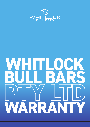

# **WHITLOCK BULL PTY LTD WARRANTY**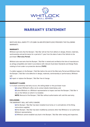

## **WARRANTY STATEMENT**

WHITLOCK BULL BARS PTY LTD (ABN 124 820 873) (WHITLOCK) PROVIDES THE FOLLOWING WARRANTY.

#### **WARRANTY**

Whitlock warrants that the Bumper / Bull Bar will be free from defects in design, fitment, materials, workmanship and performance for a period of 1 year from the date of sale of the Vehicle to the purchaser (**Warranty Period**).

Whitlock also warrants that the Bumper / Bull Bar is tested and certified at the time of manufacture as airbag compatible and rated in accordance with relevant Australian Standards and Design Rules relating to front under-run protection devices (**FUPD**).

If a defect appears in the Bumper / Bull Bar before the end of the Warranty Period and Whitlock finds the Bumper / Bull Bar to be defective in design, materials, workmanship or performance, Whitlock will:

**(a)** repair or replace the Bumper / Bull Bar free of charge.

#### **WARRANTY CLAIMS**

**1.** If a fault covered by warranty occurs, the selling dealer or the purchaser must:

**(a)** contact Whitlock's office via its contact details listed below; and

**(b)** allow Whitlock or a Whitlock representative to inspect and test the Bumper / Bull Bar in situ on the Vehicle on which it is installed.

**NOTE:** Removal of the Bumper / Bull Bar without authorisation will void this warranty.

#### **EXCLUSIONS**

THE WARRANTY WILL NOT APPLY WHERE:

**(a)** the Bumper / Bull Bar has been installed incorrectly or in contradiction of the fitting instructions supplied;

**(b)** the Bumper / Bull Bar has been modified by someone other that Whitlock or an authorised Whitlock representative;

**(c)** Whitlock cannot establish any fault in the Bumper / Bull Bar after testing and inspection;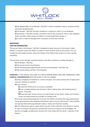

**(d)** the alleged defect in the Bumper / Bull Bar is within acceptable industry variances and/or tolerances allowed by law;

**(e)** the Bumper / Bull Bar has been installed on a vehicle for which it is not designed;

**(f)** the Bumper / Bull Bar has been used other than for the purpose for which it was designed, and/or has been used in excess of stated or recommended load ratings; or

**(g)** a claim is made for damage which constitutes normal wear and tear.

### **IMPORTANT:**

#### **TOW PIN INFORMATION**

The tow pin fitted to the Bumper / Bull Bar is designed to allow recovery of the empty or laden Vehicle, in situations where the Vehicle is unable to move forward under its own power. This can include wet and muddy surfaces, where the wheels of the Vehicle have sunken to a level causing immobility.

This warranty covers damage caused by towing in the above situations, including damage to:

- **(a)** the Bumper / Bull Bar;
- **(b)** the tow pin and its mounting box;
- **(c)** the mounting plate supporting the tow box and the Bumper / Bull Bar; and
- **(d)** the chassis plates and their mounting bolts.

**HOWEVER,** IF THE VEHICLE HAS SUNK TO A DEPTH WHERE WHEEL RIMS ARE SUBMERGED, THEN **CAREFUL CONSIDERATION** MUST BE GIVEN TO THE FOLLOWING:

**(a)** being completely immobilised is a serious situation, and careful assessment of appropriate recovery methods is essential.

**(b)** users should:

**(i)** unload the Vehicle prior to recovery if possible.

**(ii)** use a suitable loading chain (at least a 10mm loading chain, with breaking load of approx. 15 tonnes).

**(iii)** stay well clear during recovery, as chain breaks can be violent. Cables and recovery straps can easily exceed the strength of a loading chain.

**(c)** if using road working equipment to recover the Vehicle, be aware that huge pulling power can be generated by some equipment (sometimes well in excess of 50 tonnes). These vehicles are typically fitted with large diameter cable or chains and should be avoided.

**(d)** if the Vehicle has sunk to a point where any part of the underside of the Vehicle is resting or near to resting on the ground, a professional recovery company must be engaged. The decision to engage a professional recovery firm rests solely with the owner / operator of the Vehicle.